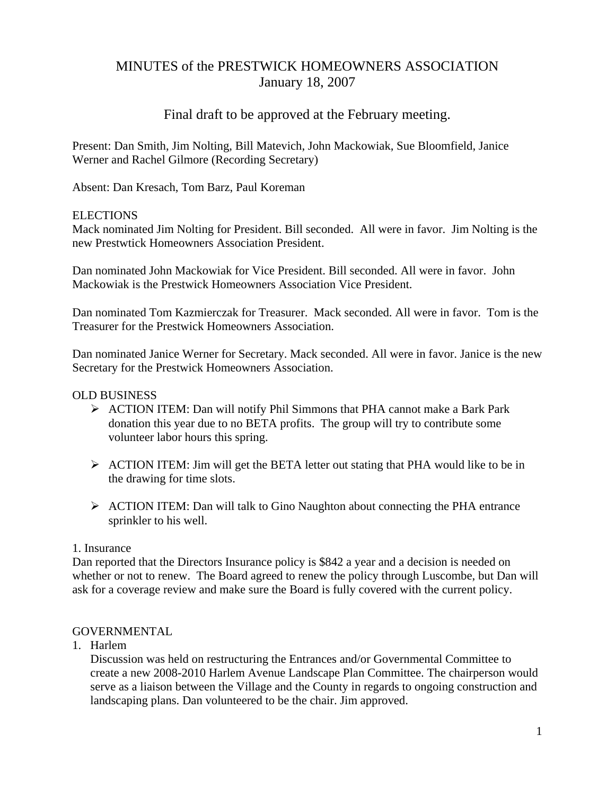# MINUTES of the PRESTWICK HOMEOWNERS ASSOCIATION January 18, 2007

## Final draft to be approved at the February meeting.

Present: Dan Smith, Jim Nolting, Bill Matevich, John Mackowiak, Sue Bloomfield, Janice Werner and Rachel Gilmore (Recording Secretary)

Absent: Dan Kresach, Tom Barz, Paul Koreman

#### ELECTIONS

Mack nominated Jim Nolting for President. Bill seconded. All were in favor. Jim Nolting is the new Prestwtick Homeowners Association President.

Dan nominated John Mackowiak for Vice President. Bill seconded. All were in favor. John Mackowiak is the Prestwick Homeowners Association Vice President.

Dan nominated Tom Kazmierczak for Treasurer. Mack seconded. All were in favor. Tom is the Treasurer for the Prestwick Homeowners Association.

Dan nominated Janice Werner for Secretary. Mack seconded. All were in favor. Janice is the new Secretary for the Prestwick Homeowners Association.

#### OLD BUSINESS

- ¾ ACTION ITEM: Dan will notify Phil Simmons that PHA cannot make a Bark Park donation this year due to no BETA profits. The group will try to contribute some volunteer labor hours this spring.
- ¾ ACTION ITEM: Jim will get the BETA letter out stating that PHA would like to be in the drawing for time slots.
- ¾ ACTION ITEM: Dan will talk to Gino Naughton about connecting the PHA entrance sprinkler to his well.

#### 1. Insurance

Dan reported that the Directors Insurance policy is \$842 a year and a decision is needed on whether or not to renew. The Board agreed to renew the policy through Luscombe, but Dan will ask for a coverage review and make sure the Board is fully covered with the current policy.

#### **GOVERNMENTAL**

1. Harlem

Discussion was held on restructuring the Entrances and/or Governmental Committee to create a new 2008-2010 Harlem Avenue Landscape Plan Committee. The chairperson would serve as a liaison between the Village and the County in regards to ongoing construction and landscaping plans. Dan volunteered to be the chair. Jim approved.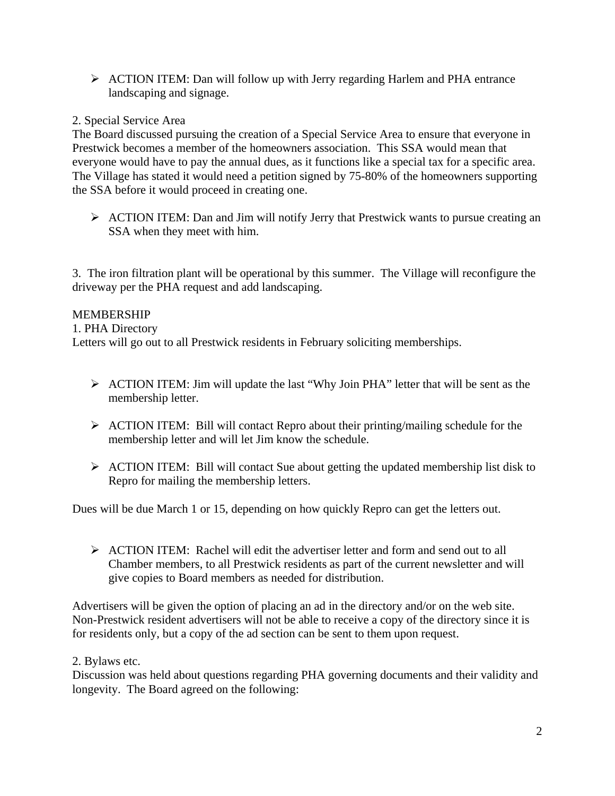¾ ACTION ITEM: Dan will follow up with Jerry regarding Harlem and PHA entrance landscaping and signage.

## 2. Special Service Area

The Board discussed pursuing the creation of a Special Service Area to ensure that everyone in Prestwick becomes a member of the homeowners association. This SSA would mean that everyone would have to pay the annual dues, as it functions like a special tax for a specific area. The Village has stated it would need a petition signed by 75-80% of the homeowners supporting the SSA before it would proceed in creating one.

 $\triangleright$  ACTION ITEM: Dan and Jim will notify Jerry that Prestwick wants to pursue creating an SSA when they meet with him.

3. The iron filtration plant will be operational by this summer. The Village will reconfigure the driveway per the PHA request and add landscaping.

### MEMBERSHIP

1. PHA Directory

Letters will go out to all Prestwick residents in February soliciting memberships.

- ¾ ACTION ITEM: Jim will update the last "Why Join PHA" letter that will be sent as the membership letter.
- ¾ ACTION ITEM: Bill will contact Repro about their printing/mailing schedule for the membership letter and will let Jim know the schedule.
- $\triangleright$  ACTION ITEM: Bill will contact Sue about getting the updated membership list disk to Repro for mailing the membership letters.

Dues will be due March 1 or 15, depending on how quickly Repro can get the letters out.

 $\triangleright$  ACTION ITEM: Rachel will edit the advertiser letter and form and send out to all Chamber members, to all Prestwick residents as part of the current newsletter and will give copies to Board members as needed for distribution.

Advertisers will be given the option of placing an ad in the directory and/or on the web site. Non-Prestwick resident advertisers will not be able to receive a copy of the directory since it is for residents only, but a copy of the ad section can be sent to them upon request.

### 2. Bylaws etc.

Discussion was held about questions regarding PHA governing documents and their validity and longevity. The Board agreed on the following: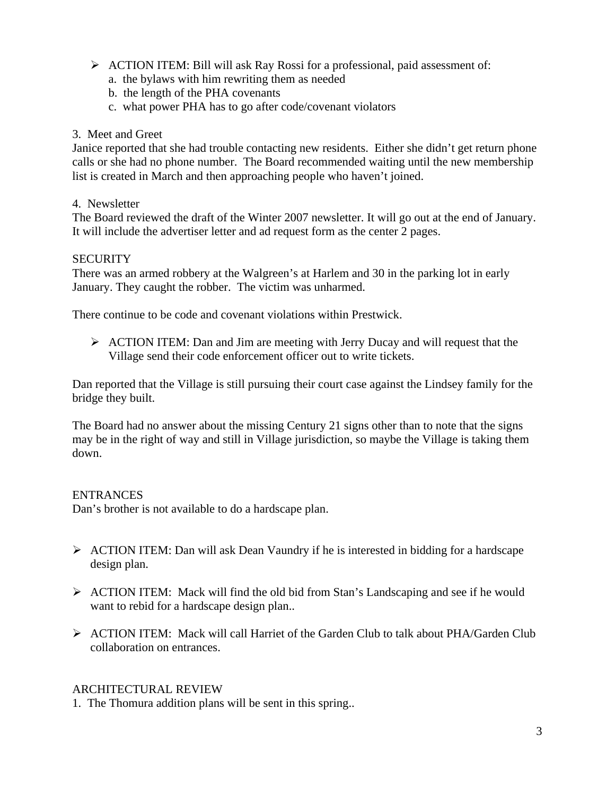- ¾ ACTION ITEM: Bill will ask Ray Rossi for a professional, paid assessment of:
	- a. the bylaws with him rewriting them as needed
	- b. the length of the PHA covenants
	- c. what power PHA has to go after code/covenant violators

### 3. Meet and Greet

Janice reported that she had trouble contacting new residents. Either she didn't get return phone calls or she had no phone number. The Board recommended waiting until the new membership list is created in March and then approaching people who haven't joined.

### 4. Newsletter

The Board reviewed the draft of the Winter 2007 newsletter. It will go out at the end of January. It will include the advertiser letter and ad request form as the center 2 pages.

## **SECURITY**

There was an armed robbery at the Walgreen's at Harlem and 30 in the parking lot in early January. They caught the robber. The victim was unharmed.

There continue to be code and covenant violations within Prestwick.

 $\triangleright$  ACTION ITEM: Dan and Jim are meeting with Jerry Ducay and will request that the Village send their code enforcement officer out to write tickets.

Dan reported that the Village is still pursuing their court case against the Lindsey family for the bridge they built.

The Board had no answer about the missing Century 21 signs other than to note that the signs may be in the right of way and still in Village jurisdiction, so maybe the Village is taking them down.

## **ENTRANCES**

Dan's brother is not available to do a hardscape plan.

- $\triangleright$  ACTION ITEM: Dan will ask Dean Vaundry if he is interested in bidding for a hardscape design plan.
- ¾ ACTION ITEM: Mack will find the old bid from Stan's Landscaping and see if he would want to rebid for a hardscape design plan..
- $\triangleright$  ACTION ITEM: Mack will call Harriet of the Garden Club to talk about PHA/Garden Club collaboration on entrances.

## ARCHITECTURAL REVIEW

1. The Thomura addition plans will be sent in this spring..